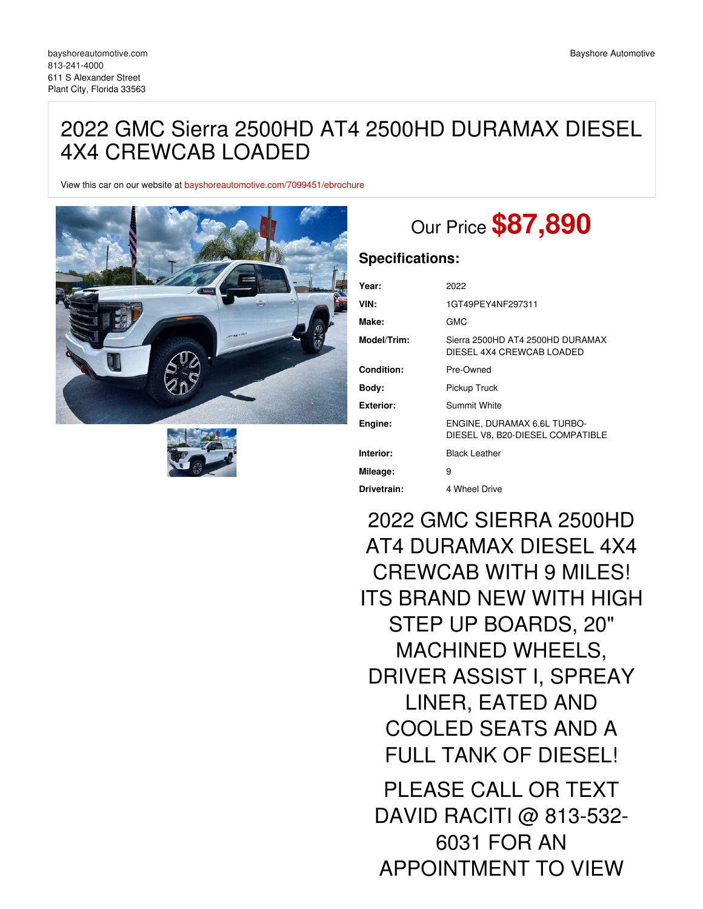## 2022 GMC Sierra 2500HD AT4 2500HD DURAMAX DIESEL 4X4 CREWCAB LOADED

View this car on our website at [bayshoreautomotive.com/7099451/ebrochure](https://bayshoreautomotive.com/vehicle/7099451/2022-gmc-sierra-2500hd-at4-2500hd-duramax-diesel-4x4-crewcab-loaded-plant-city-florida-33563/7099451/ebrochure)





# Our Price **\$87,890**

### **Specifications:**

| Year:             | 2022                                                            |
|-------------------|-----------------------------------------------------------------|
| VIN:              | 1GT49PEY4NF297311                                               |
| Make:             | GMC                                                             |
| Model/Trim:       | Sierra 2500HD AT4 2500HD DURAMAX<br>DIESEL 4X4 CREWCAB LOADED   |
| <b>Condition:</b> | Pre-Owned                                                       |
| Body:             | Pickup Truck                                                    |
| Exterior:         | Summit White                                                    |
| Engine:           | ENGINE, DURAMAX 6.6L TURBO-<br>DIESEL V8, B20-DIESEL COMPATIBLE |
| Interior:         | <b>Black Leather</b>                                            |
| Mileage:          | 9                                                               |
| Drivetrain:       | 4 Wheel Drive                                                   |

2022 GMC SIERRA 2500HD AT4 DURAMAX DIESEL 4X4 CREWCAB WITH 9 MILES! ITS BRAND NEW WITH HIGH STEP UP BOARDS, 20" MACHINED WHEELS, DRIVER ASSIST I, SPREAY LINER, EATED AND COOLED SEATS AND A FULL TANK OF DIESEL! PLEASE CALL OR TEXT DAVID RACITI @ 813-532- 6031 FOR AN

APPOINTMENT TO VIEW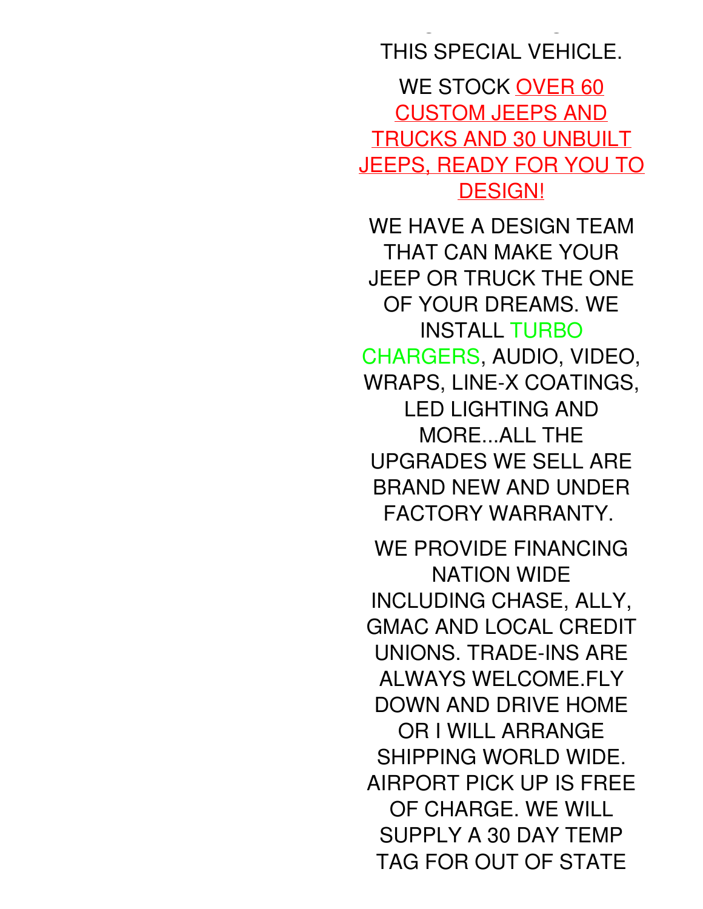# THIS SPECIAL VEHICLE.

APPOINTMENT TO VIEW

WE STOCK OVER 60 CUSTOM JEEPS AND TRUCKS AND 30 UNBUILT JEEPS, READY FOR YOU TO DESIGN!

WE HAVE A DESIGN TEAM THAT CAN MAKE YOUR JEEP OR TRUCK THE ONE OF YOUR DREAMS. WE INSTALL TURBO CHARGERS, AUDIO, VIDEO, WRAPS, LINE-X COATINGS, LED LIGHTING AND MORE...ALL THE UPGRADES WE SELL ARE BRAND NEW AND UNDER FACTORY WARRANTY.

WE PROVIDE FINANCING NATION WIDE INCLUDING CHASE, ALLY, GMAC AND LOCAL CREDIT UNIONS. TRADE-INS ARE ALWAYS WELCOME.FLY DOWN AND DRIVE HOME OR I WILL ARRANGE SHIPPING WORLD WIDE. AIRPORT PICK UP IS FREE OF CHARGE. WE WILL SUPPLY A 30 DAY TEMP TAG FOR OUT OF STATE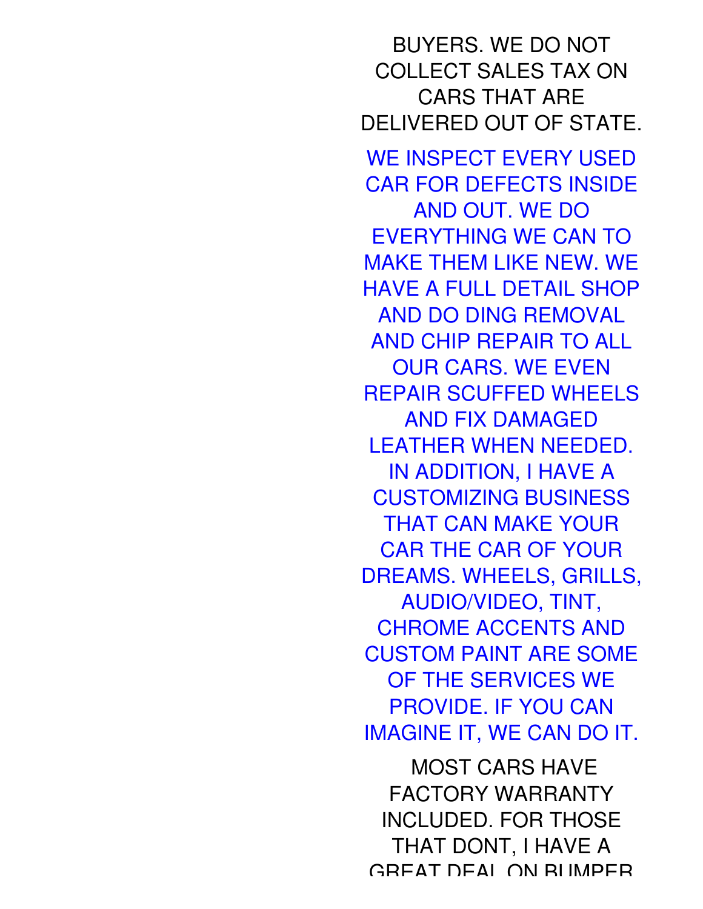BUYERS. WE DO NOT COLLECT SALES TAX ON CARS THAT ARE DELIVERED OUT OF STATE. WE INSPECT EVERY USED CAR FOR DEFECTS INSIDE AND OUT. WE DO EVERYTHING WE CAN TO MAKE THEM LIKE NEW. WE HAVE A FULL DETAIL SHOP AND DO DING REMOVAL AND CHIP REPAIR TO ALL OUR CARS. WE EVEN REPAIR SCUFFED WHEELS AND FIX DAMAGED LEATHER WHEN NEEDED. IN ADDITION, I HAVE A CUSTOMIZING BUSINESS THAT CAN MAKE YOUR CAR THE CAR OF YOUR DREAMS. WHEELS, GRILLS, AUDIO/VIDEO, TINT, CHROME ACCENTS AND CUSTOM PAINT ARE SOME OF THE SERVICES WE PROVIDE. IF YOU CAN IMAGINE IT, WE CAN DO IT. MOST CARS HAVE

FACTORY WARRANTY INCLUDED. FOR THOSE THAT DONT, I HAVE A GREAT DEAL ON BUMPER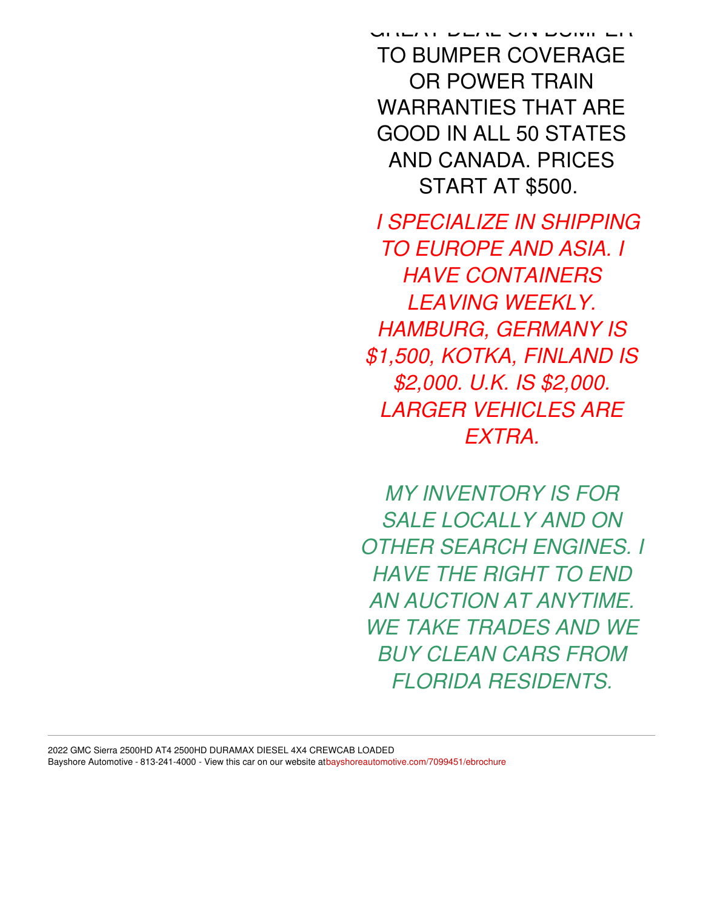GREAT DEAL ON BUMPER TO BUMPER COVERAGE OR POWER TRAIN WARRANTIES THAT ARE GOOD IN ALL 50 STATES AND CANADA. PRICES START AT \$500.

*I SPECIALIZE IN SHIPPING TO EUROPE AND ASIA. I HAVE CONTAINERS LEAVING WEEKLY. HAMBURG, GERMANY IS \$1,500, KOTKA, FINLAND IS \$2,000. U.K. IS \$2,000. LARGER VEHICLES ARE EXTRA.*

*MY INVENTORY IS FOR SALE LOCALLY AND ON OTHER SEARCH ENGINES. I HAVE THE RIGHT TO END AN AUCTION AT ANYTIME. WE TAKE TRADES AND WE BUY CLEAN CARS FROM FLORIDA RESIDENTS.*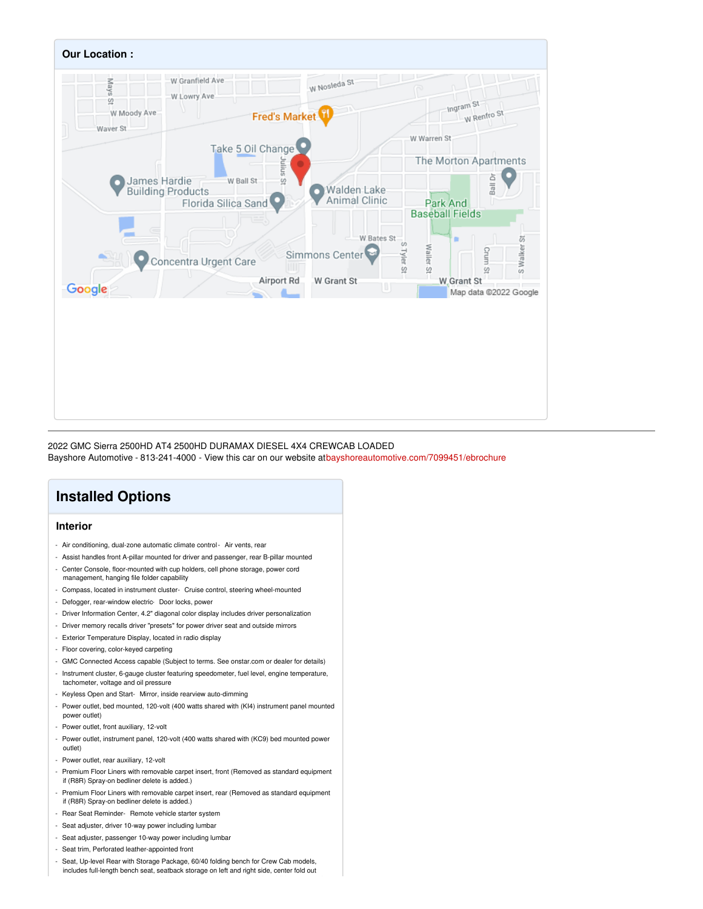

2022 GMC Sierra 2500HD AT4 2500HD DURAMAX DIESEL 4X4 CREWCAB LOADED Bayshore Automotive - 813-241-4000 - View this car on our website a[tbayshoreautomotive.com/7099451/ebrochure](https://bayshoreautomotive.com/vehicle/7099451/2022-gmc-sierra-2500hd-at4-2500hd-duramax-diesel-4x4-crewcab-loaded-plant-city-florida-33563/7099451/ebrochure)

### **Installed Options**

### **Interior**

- Air conditioning, dual-zone automatic climate control Air vents, rear
- Assist handles front A-pillar mounted for driver and passenger, rear B-pillar mounted
- Center Console, floor-mounted with cup holders, cell phone storage, power cord management, hanging file folder capability
- Compass, located in instrument cluster- Cruise control, steering wheel-mounted
- Defogger, rear-window electric- Door locks, power
- Driver Information Center, 4.2" diagonal color display includes driver personalization
- Driver memory recalls driver "presets" for power driver seat and outside mirrors
- Exterior Temperature Display, located in radio display
- Floor covering, color-keyed carpeting
- GMC Connected Access capable (Subject to terms. See onstar.com or dealer for details)
- Instrument cluster, 6-gauge cluster featuring speedometer, fuel level, engine temperature, tachometer, voltage and oil pressure
- Keyless Open and Start- Mirror, inside rearview auto-dimming
- Power outlet, bed mounted, 120-volt (400 watts shared with (KI4) instrument panel mounted power outlet)
- Power outlet, front auxiliary, 12-volt
- Power outlet, instrument panel, 120-volt (400 watts shared with (KC9) bed mounted power outlet)
- Power outlet, rear auxiliary, 12-volt
- Premium Floor Liners with removable carpet insert, front (Removed as standard equipment if (R8R) Spray-on bedliner delete is added.)
- Premium Floor Liners with removable carpet insert, rear (Removed as standard equipment if (R8R) Spray-on bedliner delete is added.)
- Rear Seat Reminder- Remote vehicle starter system
- Seat adjuster, driver 10-way power including lumbar
- Seat adjuster, passenger 10-way power including lumbar
- Seat trim, Perforated leather-appointed front
- Seat, Up-level Rear with Storage Package, 60/40 folding bench for Crew Cab models,
- includes full-length bench seat, seatback storage on left and right side, center fold out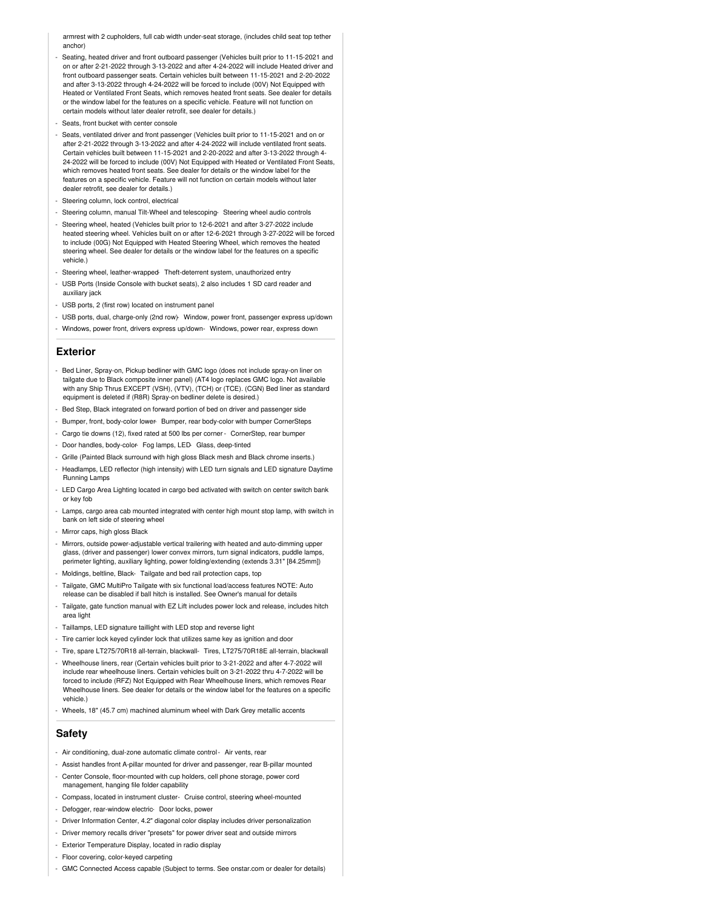armrest with 2 cupholders, full cab width under-seat storage, (includes child seat top tether anchor)

- Seating, heated driver and front outboard passenger (Vehicles built prior to 11-15-2021 and on or after 2-21-2022 through 3-13-2022 and after 4-24-2022 will include Heated driver and front outboard passenger seats. Certain vehicles built between 11-15-2021 and 2-20-2022 and after 3-13-2022 through 4-24-2022 will be forced to include (00V) Not Equipped with Heated or Ventilated Front Seats, which removes heated front seats. See dealer for details or the window label for the features on a specific vehicle. Feature will not function on certain models without later dealer retrofit, see dealer for details.)
- Seats, front bucket with center console
- Seats, ventilated driver and front passenger (Vehicles built prior to 11-15-2021 and on or after 2-21-2022 through 3-13-2022 and after 4-24-2022 will include ventilated front seats. Certain vehicles built between 11-15-2021 and 2-20-2022 and after 3-13-2022 through 4- 24-2022 will be forced to include (00V) Not Equipped with Heated or Ventilated Front Seats, which removes heated front seats. See dealer for details or the window label for the features on a specific vehicle. Feature will not function on certain models without later dealer retrofit, see dealer for details.)
- Steering column, lock control, electrical
- Steering column, manual Tilt-Wheel and telescoping- Steering wheel audio controls
- Steering wheel, heated (Vehicles built prior to 12-6-2021 and after 3-27-2022 include heated steering wheel. Vehicles built on or after 12-6-2021 through 3-27-2022 will be forced to include (00G) Not Equipped with Heated Steering Wheel, which removes the heated steering wheel. See dealer for details or the window label for the features on a specific vehicle.)
- Steering wheel, leather-wrapped- Theft-deterrent system, unauthorized entry
- USB Ports (Inside Console with bucket seats), 2 also includes 1 SD card reader and auxiliary jack
- USB ports, 2 (first row) located on instrument panel
- USB ports, dual, charge-only (2nd row)- Window, power front, passenger express up/down
- Windows, power front, drivers express up/down- Windows, power rear, express down

#### **Exterior**

- Bed Liner, Spray-on, Pickup bedliner with GMC logo (does not include spray-on liner on tailgate due to Black composite inner panel) (AT4 logo replaces GMC logo. Not available with any Ship Thrus EXCEPT (VSH), (VTV), (TCH) or (TCE). (CGN) Bed liner as standard equipment is deleted if (R8R) Spray-on bedliner delete is desired.)
- Bed Step, Black integrated on forward portion of bed on driver and passenger side
- Bumper, front, body-color lower- Bumper, rear body-color with bumper CornerSteps
- Cargo tie downs (12), fixed rated at 500 lbs per corner CornerStep, rear bumper
- Door handles, body-color- Fog lamps, LED- Glass, deep-tinted
- Grille (Painted Black surround with high gloss Black mesh and Black chrome inserts.)
- Headlamps, LED reflector (high intensity) with LED turn signals and LED signature Daytime Running Lamps
- LED Cargo Area Lighting located in cargo bed activated with switch on center switch bank or key fob
- Lamps, cargo area cab mounted integrated with center high mount stop lamp, with switch in bank on left side of steering wheel
- Mirror caps, high gloss Black
- Mirrors, outside power-adjustable vertical trailering with heated and auto-dimming upper glass, (driver and passenger) lower convex mirrors, turn signal indicators, puddle lamps, perimeter lighting, auxiliary lighting, power folding/extending (extends 3.31" [84.25mm])
- Moldings, beltline, Black- Tailgate and bed rail protection caps, top
- Tailgate, GMC MultiPro Tailgate with six functional load/access features NOTE: Auto release can be disabled if ball hitch is installed. See Owner's manual for details
- Tailgate, gate function manual with EZ Lift includes power lock and release, includes hitch area light
- Taillamps, LED signature taillight with LED stop and reverse light
- Tire carrier lock keyed cylinder lock that utilizes same key as ignition and door
- Tire, spare LT275/70R18 all-terrain, blackwall- Tires, LT275/70R18E all-terrain, blackwall
- Wheelhouse liners, rear (Certain vehicles built prior to 3-21-2022 and after 4-7-2022 will include rear wheelhouse liners. Certain vehicles built on 3-21-2022 thru 4-7-2022 will be forced to include (RFZ) Not Equipped with Rear Wheelhouse liners, which removes Rear Wheelhouse liners. See dealer for details or the window label for the features on a specific vehicle.)
- Wheels, 18" (45.7 cm) machined aluminum wheel with Dark Grey metallic accents

#### **Safety**

- Air conditioning, dual-zone automatic climate control- Air vents, rear
- Assist handles front A-pillar mounted for driver and passenger, rear B-pillar mounted
- Center Console, floor-mounted with cup holders, cell phone storage, power cord management, hanging file folder capability
- Compass, located in instrument cluster- Cruise control, steering wheel-mounted
- Defogger, rear-window electric- Door locks, power
- Driver Information Center, 4.2" diagonal color display includes driver personalization
- Driver memory recalls driver "presets" for power driver seat and outside mirrors
- Exterior Temperature Display, located in radio display
- Floor covering, color-keyed carpeting
- GMC Connected Access capable (Subject to terms. See onstar.com or dealer for details)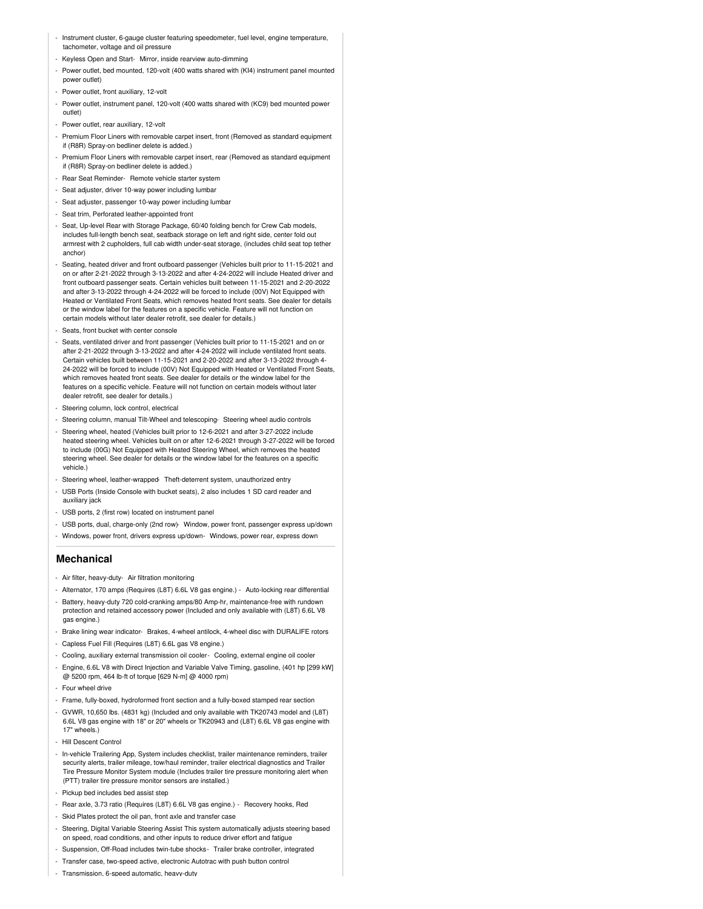- Instrument cluster, 6-gauge cluster featuring speedometer, fuel level, engine temperature, tachometer, voltage and oil pressure
- Keyless Open and Start- Mirror, inside rearview auto-dimming
- Power outlet, bed mounted, 120-volt (400 watts shared with (KI4) instrument panel mounted power outlet)
- Power outlet, front auxiliary, 12-volt
- Power outlet, instrument panel, 120-volt (400 watts shared with (KC9) bed mounted power outlet)
- Power outlet, rear auxiliary, 12-volt
- Premium Floor Liners with removable carpet insert, front (Removed as standard equipment if (R8R) Spray-on bedliner delete is added.)
- Premium Floor Liners with removable carpet insert, rear (Removed as standard equipment if (R8R) Spray-on bedliner delete is added.)
- Rear Seat Reminder- Remote vehicle starter system
- Seat adjuster, driver 10-way power including lumbar
- Seat adjuster, passenger 10-way power including lumbar
- Seat trim, Perforated leather-appointed front
- Seat, Up-level Rear with Storage Package, 60/40 folding bench for Crew Cab models, includes full-length bench seat, seatback storage on left and right side, center fold out armrest with 2 cupholders, full cab width under-seat storage, (includes child seat top tether anchor)
- Seating, heated driver and front outboard passenger (Vehicles built prior to 11-15-2021 and on or after 2-21-2022 through 3-13-2022 and after 4-24-2022 will include Heated driver and front outboard passenger seats. Certain vehicles built between 11-15-2021 and 2-20-2022 and after 3-13-2022 through 4-24-2022 will be forced to include (00V) Not Equipped with Heated or Ventilated Front Seats, which removes heated front seats. See dealer for details or the window label for the features on a specific vehicle. Feature will not function on certain models without later dealer retrofit, see dealer for details.)
- Seats, front bucket with center console
- Seats, ventilated driver and front passenger (Vehicles built prior to 11-15-2021 and on or after 2-21-2022 through 3-13-2022 and after 4-24-2022 will include ventilated front seats. Certain vehicles built between 11-15-2021 and 2-20-2022 and after 3-13-2022 through 4- 24-2022 will be forced to include (00V) Not Equipped with Heated or Ventilated Front Seats, which removes heated front seats. See dealer for details or the window label for the features on a specific vehicle. Feature will not function on certain models without later dealer retrofit, see dealer for details.)
- Steering column, lock control, electrical
- Steering column, manual Tilt-Wheel and telescoping- Steering wheel audio controls
- Steering wheel, heated (Vehicles built prior to 12-6-2021 and after 3-27-2022 include heated steering wheel. Vehicles built on or after 12-6-2021 through 3-27-2022 will be forced to include (00G) Not Equipped with Heated Steering Wheel, which removes the heated steering wheel. See dealer for details or the window label for the features on a specific vehicle.)
- Steering wheel, leather-wrapped- Theft-deterrent system, unauthorized entry
- USB Ports (Inside Console with bucket seats), 2 also includes 1 SD card reader and auxiliary jack
- USB ports, 2 (first row) located on instrument panel
- USB ports, dual, charge-only (2nd row)- Window, power front, passenger express up/down
- Windows, power front, drivers express up/down- Windows, power rear, express down

### **Mechanical**

- Air filter, heavy-duty- Air filtration monitoring
- Alternator, 170 amps (Requires (L8T) 6.6L V8 gas engine.) Auto-locking rear differential
- Battery, heavy-duty 720 cold-cranking amps/80 Amp-hr, maintenance-free with rundown protection and retained accessory power (Included and only available with (L8T) 6.6L V8 gas engine.)
- Brake lining wear indicator- Brakes, 4-wheel antilock, 4-wheel disc with DURALIFE rotors
- Capless Fuel Fill (Requires (L8T) 6.6L gas V8 engine.)
- Cooling, auxiliary external transmission oil cooler- Cooling, external engine oil cooler
- Engine, 6.6L V8 with Direct Injection and Variable Valve Timing, gasoline, (401 hp [299 kW] @ 5200 rpm, 464 lb-ft of torque [629 N-m] @ 4000 rpm)
- Four wheel drive
- Frame, fully-boxed, hydroformed front section and a fully-boxed stamped rear section
- GVWR, 10,650 lbs. (4831 kg) (Included and only available with TK20743 model and (L8T) 6.6L V8 gas engine with 18" or 20" wheels or TK20943 and (L8T) 6.6L V8 gas engine with 17" wheels.)
- Hill Descent Control
- In-vehicle Trailering App, System includes checklist, trailer maintenance reminders, trailer security alerts, trailer mileage, tow/haul reminder, trailer electrical diagnostics and Trailer Tire Pressure Monitor System module (Includes trailer tire pressure monitoring alert when (PTT) trailer tire pressure monitor sensors are installed.)
- Pickup bed includes bed assist step
- Rear axle, 3.73 ratio (Requires (L8T) 6.6L V8 gas engine.) Recovery hooks, Red
- Skid Plates protect the oil pan, front axle and transfer case
- Steering, Digital Variable Steering Assist This system automatically adjusts steering based on speed, road conditions, and other inputs to reduce driver effort and fatigue
- Suspension, Off-Road includes twin-tube shocks- Trailer brake controller, integrated
- Transfer case, two-speed active, electronic Autotrac with push button control
- Transmission, 6-speed automatic, heavy-duty